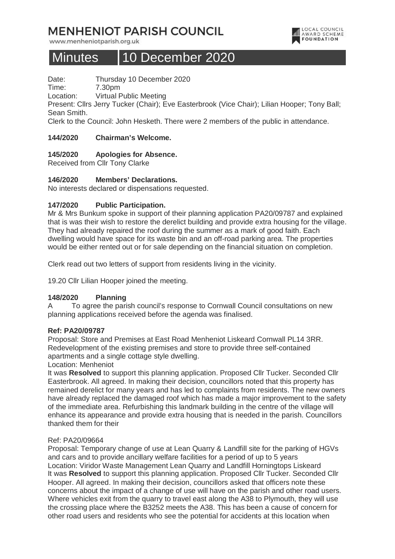# **MENHENIOT PARISH COUNCIL**

www.menheniotparish.org.uk

# Minutes | 10 December 2020

Date: Thursday 10 December 2020

Time: 7.30pm

Location: Virtual Public Meeting

Present: Cllrs Jerry Tucker (Chair); Eve Easterbrook (Vice Chair); Lilian Hooper; Tony Ball; Sean Smith.

LOCAL COUNCIL<br>AWARD SCHEME **FOUNDATION** 

Clerk to the Council: John Hesketh. There were 2 members of the public in attendance.

## **144/2020 Chairman's Welcome.**

## **145/2020 Apologies for Absence.**

Received from Cllr Tony Clarke

#### **146/2020 Members' Declarations.**

No interests declared or dispensations requested.

#### **147/2020 Public Participation.**

Mr & Mrs Bunkum spoke in support of their planning application PA20/09787 and explained that is was their wish to restore the derelict building and provide extra housing for the village. They had already repaired the roof during the summer as a mark of good faith. Each dwelling would have space for its waste bin and an off-road parking area. The properties would be either rented out or for sale depending on the financial situation on completion.

Clerk read out two letters of support from residents living in the vicinity.

19.20 Cllr Lilian Hooper joined the meeting.

#### **148/2020 Planning**

A To agree the parish council's response to Cornwall Council consultations on new planning applications received before the agenda was finalised.

#### **Ref: PA20/09787**

Proposal: Store and Premises at East Road Menheniot Liskeard Cornwall PL14 3RR. Redevelopment of the existing premises and store to provide three self-contained apartments and a single cottage style dwelling.

#### Location: Menheniot

It was **Resolved** to support this planning application. Proposed Cllr Tucker. Seconded Cllr Easterbrook. All agreed. In making their decision, councillors noted that this property has remained derelict for many years and has led to complaints from residents. The new owners have already replaced the damaged roof which has made a major improvement to the safety of the immediate area. Refurbishing this landmark building in the centre of the village will enhance its appearance and provide extra housing that is needed in the parish. Councillors thanked them for their

#### Ref: PA20/09664

Proposal: Temporary change of use at Lean Quarry & Landfill site for the parking of HGVs and cars and to provide ancillary welfare facilities for a period of up to 5 years Location: Viridor Waste Management Lean Quarry and Landfill Horningtops Liskeard It was **Resolved** to support this planning application. Proposed Cllr Tucker. Seconded Cllr Hooper. All agreed. In making their decision, councillors asked that officers note these concerns about the impact of a change of use will have on the parish and other road users. Where vehicles exit from the quarry to travel east along the A38 to Plymouth, they will use the crossing place where the B3252 meets the A38. This has been a cause of concern for other road users and residents who see the potential for accidents at this location when